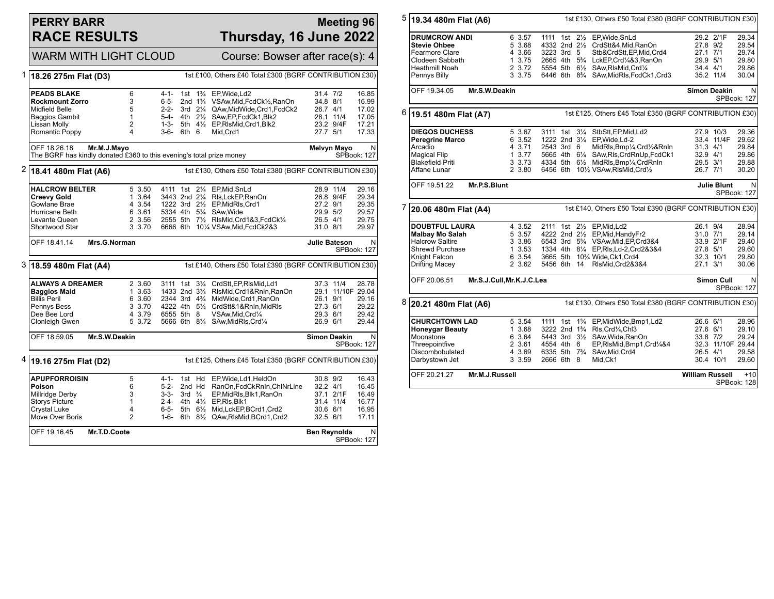## **PERRY BARR RACE RESULTS**

## **Meeting 96 Thursday, 16 June 2022**

|                                                                                      | <b>WARM WITH LIGHT CLOUD</b>                                                                                                     |                                                          |                                                          | Course: Bowser after race(s): 4                             |                                                                                                                                                                                                                                                              |                                                             |                   |                                                    |  |
|--------------------------------------------------------------------------------------|----------------------------------------------------------------------------------------------------------------------------------|----------------------------------------------------------|----------------------------------------------------------|-------------------------------------------------------------|--------------------------------------------------------------------------------------------------------------------------------------------------------------------------------------------------------------------------------------------------------------|-------------------------------------------------------------|-------------------|----------------------------------------------------|--|
| 1                                                                                    | 18.26 275m Flat (D3)                                                                                                             |                                                          |                                                          |                                                             | 1st £100, Others £40 Total £300 (BGRF CONTRIBUTION £30)                                                                                                                                                                                                      |                                                             |                   |                                                    |  |
|                                                                                      | <b>PEADS BLAKE</b><br><b>Rockmount Zorro</b><br><b>Midfield Belle</b><br><b>Baggios Gambit</b><br>Lissan Molly<br>Romantic Poppy | 6<br>3<br>5<br>1<br>2<br>4                               | $4 - 1 -$<br>6-5-<br>2-2-<br>5-4-<br>$1 - 3 -$<br>3-6-   | 1st<br>6th 6                                                | 1 <sup>3</sup> / <sub>4</sub> EP. Wide. Ld 2<br>2nd 1 <sup>3</sup> / <sub>4</sub> VSAw, Mid, FcdCk <sup>1</sup> / <sub>2</sub> , RanOn<br>3rd 21/4 QAw.MidWide.Crd1.FcdCk2<br>4th 21/2 SAw, EP, FcdCk1, Blk2<br>5th 41/2 EP, RIsMid, Crd1, Blk2<br>Mid, Crd1 | 31.4 7/2<br>34.8 8/1<br>26.7 4/1<br>28.1 11/4<br>27.7 5/1   | 23.2 9/4F         | 16.85<br>16.99<br>17.02<br>17.05<br>17.21<br>17.33 |  |
|                                                                                      | OFF 18.26.18<br>Mr.M.J.Mayo<br>The BGRF has kindly donated £360 to this evening's total prize money                              |                                                          |                                                          |                                                             |                                                                                                                                                                                                                                                              | <b>Melvyn Mayo</b><br>N<br>SPBook: 127                      |                   |                                                    |  |
| 2<br>1st £130, Others £50 Total £380 (BGRF CONTRIBUTION £30)<br>18.41 480m Flat (A6) |                                                                                                                                  |                                                          |                                                          |                                                             |                                                                                                                                                                                                                                                              |                                                             |                   |                                                    |  |
|                                                                                      | <b>HALCROW BELTER</b><br><b>Creevy Gold</b><br>Gowlane Brae<br>Hurricane Beth<br>Levante Queen<br>Shortwood Star                 | 5 3.50<br>1 3.64<br>4 3.54<br>6 3.61<br>2 3.56<br>3 3.70 |                                                          |                                                             | 4111 1st 21/4 EP, Mid, SnLd<br>3443 2nd 21/4 RIs, LckEP, RanOn<br>1222 3rd 21/2 EP, Mid RIs, Crd1<br>5334 4th 51/4 SAw. Wide<br>2555 5th 71/2 RIsMid, Crd1&3, FcdCk1/4<br>6666 6th 101/4 VSAw, Mid, FcdCk2&3                                                 | 28.9 11/4<br>27.2 9/1<br>29.9 5/2<br>26.5 4/1<br>31.0 8/1   | 26.8 9/4F         | 29.16<br>29.34<br>29.35<br>29.57<br>29.75<br>29.97 |  |
|                                                                                      | OFF 18.41.14                                                                                                                     | Mrs.G.Norman                                             |                                                          |                                                             |                                                                                                                                                                                                                                                              | <b>Julie Bateson</b>                                        |                   | N<br>SPBook: 127                                   |  |
|                                                                                      | 3 18.59 480m Flat (A4)<br>1st £140, Others £50 Total £390 (BGRF CONTRIBUTION £30)                                                |                                                          |                                                          |                                                             |                                                                                                                                                                                                                                                              |                                                             |                   |                                                    |  |
|                                                                                      | <b>ALWAYS A DREAMER</b><br>Baggios Maid<br><b>Billis Peril</b><br>Pennys Bess<br>Dee Bee Lord<br>Clonleigh Gwen                  | 2 3.60<br>1 3.63<br>6 3.60<br>3 3.70<br>4 3.79<br>5 3.72 | 6555 5th 8                                               |                                                             | 3111 1st 31/4 CrdStt, EP, RIsMid, Ld1<br>1433 2nd 31/4 RIsMid, Crd1&RnIn, RanOn<br>2344 3rd 4 <sup>3</sup> / <sub>4</sub> MidWide.Crd1.RanOn<br>4222 4th 51/2 CrdStt&1&RnIn, MidRIs<br>VSAw, Mid, Crd1/4<br>5666 6th 81/4 SAw, Mid RIs, Crd1/4               | 37.3 11/4<br>26.1 9/1<br>27.3 6/1<br>29.3 6/1<br>26.9 6/1   | 29.1 11/10F 29.04 | 28.78<br>29.16<br>29.22<br>29.42<br>29.44          |  |
|                                                                                      | OFF 18.59.05                                                                                                                     | Mr.S.W.Deakin                                            |                                                          |                                                             |                                                                                                                                                                                                                                                              | <b>Simon Deakin</b>                                         |                   | N<br><b>SPBook: 127</b>                            |  |
| 4                                                                                    | 19.16 275m Flat (D2)                                                                                                             |                                                          |                                                          |                                                             | 1st £125, Others £45 Total £350 (BGRF CONTRIBUTION £30)                                                                                                                                                                                                      |                                                             |                   |                                                    |  |
|                                                                                      | <b>APUPFORROISIN</b><br>Poison<br>Millridge Derby<br>Storys Picture<br><b>Crystal Luke</b><br>Move Over Boris                    | 5<br>6<br>3<br>1<br>4<br>2                               | 4-1-<br>$5-2-$<br>$3 - 3 -$<br>2-4-<br>6-5-<br>$1 - 6 -$ | 1st Hd<br>2nd Hd<br>3rd $\frac{3}{4}$<br>5th $6\frac{1}{2}$ | EP, Wide, Ld1, HeldOn<br>RanOn, FcdCkRnIn, ChINrLine<br>EP, MidRls, Blk1, RanOn<br>4th 41/4 EP.RIs.Blk1<br>Mid, LckEP, BCrd1, Crd2<br>6th 81/2 QAw, RIsMid, BCrd1, Crd2                                                                                      | 30.8 9/2<br>$32.2$ 4/1<br>31.4 11/4<br>30.6 6/1<br>32.5 6/1 | 37.1 2/1F         | 16.43<br>16.45<br>16.49<br>16.77<br>16.95<br>17.11 |  |
|                                                                                      | OFF 19.16.45                                                                                                                     | Mr.T.D.Coote                                             |                                                          |                                                             |                                                                                                                                                                                                                                                              | <b>Ben Reynolds</b>                                         |                   | N<br>SPBook: 127                                   |  |

| 5                                         |                         | 1st £130, Others £50 Total £380 (BGRF CONTRIBUTION £30)<br>19.34 480m Flat (A6) |          |             |                   |                                                                                    |            |                     |                  |
|-------------------------------------------|-------------------------|---------------------------------------------------------------------------------|----------|-------------|-------------------|------------------------------------------------------------------------------------|------------|---------------------|------------------|
|                                           |                         |                                                                                 |          |             |                   |                                                                                    |            |                     |                  |
|                                           | <b>DRUMCROW ANDI</b>    |                                                                                 | 6 3.57   |             |                   | 1111 1st 21/2 EP, Wide, SnLd                                                       |            | 29.2 2/1F           | 29.34            |
|                                           | <b>Stevie Ohbee</b>     |                                                                                 | 5 3.68   |             |                   | 4332 2nd 21/2 CrdStt&4, Mid, RanOn                                                 | 27.8 9/2   |                     | 29.54            |
|                                           | Fearmore Clare          |                                                                                 | 4 3.66   | 3223 3rd 5  |                   | Stb&CrdStt,EP,Mid,Crd4                                                             | 27.1 7/1   |                     | 29.74            |
|                                           | Clodeen Sabbath         |                                                                                 | 1 3.75   |             |                   | 2665 4th 5% LckEP, Crd1/4&3, RanOn                                                 | 29.9 5/1   |                     | 29.80            |
|                                           | Heathmill Noah          |                                                                                 | 2 3.72   |             |                   | 5554 5th 61/2 SAw, RIsMid, Crd1/4                                                  | 34.4 4/1   |                     | 29.86            |
|                                           | Pennys Billy            |                                                                                 | 3 3.75   |             |                   | 6446 6th 8 <sup>3</sup> / <sub>4</sub> SAw, MidRIs, FcdCk1, Crd3                   |            | 35.2 11/4           | 30.04            |
|                                           | OFF 19.34.05            | Mr.S.W.Deakin                                                                   |          |             |                   |                                                                                    |            | <b>Simon Deakin</b> | N                |
|                                           |                         |                                                                                 |          |             |                   |                                                                                    |            |                     | SPBook: 127      |
| 6                                         | 19.51 480m Flat (A7)    |                                                                                 |          |             |                   | 1st £125, Others £45 Total £350 (BGRF CONTRIBUTION £30)                            |            |                     |                  |
|                                           | <b>DIEGOS DUCHESS</b>   |                                                                                 | 5 3.67   |             |                   | 3111 1st 31/4 StbStt, EP, Mid, Ld2                                                 |            | 27.9 10/3           | 29.36            |
|                                           | <b>Peregrine Marco</b>  |                                                                                 | 6 3.52   |             |                   | 1222 2nd 31/4 EP, Wide, Ld-2                                                       |            | 33.4 11/4F          | 29.62            |
|                                           | Arcadio                 |                                                                                 | 4 3.71   | 2543 3rd 6  |                   | MidRls, Bmp1/4, Crd1/2&RnIn                                                        | $31.3$ 4/1 |                     | 29.84            |
|                                           | <b>Magical Flip</b>     |                                                                                 | 1, 3.77  |             |                   | 5665 4th 61/4 SAw, RIs, CrdRnUp, FcdCk1                                            | 32.9 4/1   |                     | 29.86            |
|                                           | <b>Blakefield Priti</b> |                                                                                 | 3, 3, 73 |             |                   | 4334 5th 61/2 MidRls, Bmp1/4, CrdRnIn                                              | 29.5 3/1   |                     | 29.88            |
|                                           | Affane Lunar            |                                                                                 | 2 3.80   |             |                   | 6456 6th 101/2 VSAw, RIsMid, Crd1/2                                                | 26.7 7/1   |                     | 30.20            |
|                                           | OFF 19.51.22            | Mr.P.S.Blunt                                                                    |          |             |                   |                                                                                    |            | <b>Julie Blunt</b>  | N<br>SPBook: 127 |
| 7                                         | 20.06 480m Flat (A4)    |                                                                                 |          |             |                   | 1st £140, Others £50 Total £390 (BGRF CONTRIBUTION £30)                            |            |                     |                  |
|                                           | <b>DOUBTFUL LAURA</b>   |                                                                                 | 4 3.52   |             |                   | 2111 1st 21/2 EP, Mid, Ld2                                                         | 26.1 9/4   |                     | 28.94            |
|                                           | <b>Malbay Mo Salah</b>  |                                                                                 | 5 3.57   |             |                   | 4222 2nd 21/2 EP, Mid, Handy Fr2                                                   | 31.0 7/1   |                     | 29.14            |
|                                           | <b>Halcrow Saltire</b>  |                                                                                 | 3 3.86   |             |                   | 6543 3rd 53/4 VSAw, Mid, EP, Crd3&4                                                |            | 33.9 2/1F           | 29.40            |
|                                           | Shrewd Purchase         |                                                                                 | 1 3.53   |             |                   | 1334 4th 81/4 EP, RIs, Ld-2, Crd 2& 3& 4                                           | 27.8 5/1   |                     | 29.60            |
|                                           | Knight Falcon           |                                                                                 | 6 3.54   |             |                   | 3665 5th 10% Wide, Ck1, Crd4                                                       |            | 32.3 10/1           | 29.80            |
|                                           | <b>Drifting Macey</b>   |                                                                                 | 2 3.62   | 5456 6th 14 |                   | RIsMid, Crd2&3&4                                                                   | 27.1 3/1   |                     | 30.06            |
| OFF 20.06.51<br>Mr.S.J.Cull, Mr.K.J.C.Lea |                         |                                                                                 |          |             | <b>Simon Cull</b> | N.<br>SPBook: 127                                                                  |            |                     |                  |
| 8<br>20.21 480m Flat (A6)                 |                         |                                                                                 |          |             |                   | 1st £130, Others £50 Total £380 (BGRF CONTRIBUTION £30)                            |            |                     |                  |
|                                           | <b>CHURCHTOWN LAD</b>   |                                                                                 | 5 3.54   |             |                   | 1111 1st 1 <sup>3</sup> / <sub>4</sub> EP, Mid Wide, Bmp1, Ld 2                    | 26.6 6/1   |                     | 28.96            |
|                                           | <b>Honeygar Beauty</b>  |                                                                                 | 1 3.68   |             |                   | 3222 2nd 1 <sup>3</sup> / <sub>4</sub> Rls, Crd <sup>1</sup> / <sub>4</sub> , Chl3 | 27.6 6/1   |                     | 29.10            |
|                                           | Moonstone               |                                                                                 | 6 3.64   |             |                   | 5443 3rd 31/2 SAw, Wide, RanOn                                                     | 33.8 7/2   |                     | 29.24            |
|                                           | Threepointfive          |                                                                                 | 2 3.61   | 4554 4th 6  |                   | EP,RIsMid,Bmp1,Crd1/4&4                                                            |            | 32.3 11/10F 29.44   |                  |
|                                           | Discombobulated         |                                                                                 | 4 3.69   |             |                   | 6335 5th 73/4 SAw, Mid, Crd4                                                       | 26.5 4/1   |                     | 29.58            |
|                                           |                         |                                                                                 | 3 3.59   |             |                   | Mid, Ck1                                                                           |            | 30.4 10/1           | 29.60            |
|                                           | Darbystown Jet          |                                                                                 |          | 2666 6th 8  |                   |                                                                                    |            |                     |                  |